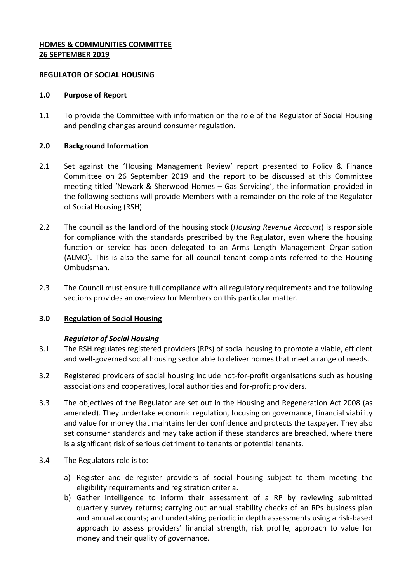## **HOMES & COMMUNITIES COMMITTEE 26 SEPTEMBER 2019**

### **REGULATOR OF SOCIAL HOUSING**

#### **1.0 Purpose of Report**

1.1 To provide the Committee with information on the role of the Regulator of Social Housing and pending changes around consumer regulation.

### **2.0 Background Information**

- 2.1 Set against the 'Housing Management Review' report presented to Policy & Finance Committee on 26 September 2019 and the report to be discussed at this Committee meeting titled 'Newark & Sherwood Homes – Gas Servicing', the information provided in the following sections will provide Members with a remainder on the role of the Regulator of Social Housing (RSH).
- 2.2 The council as the landlord of the housing stock (*Housing Revenue Account*) is responsible for compliance with the standards prescribed by the Regulator, even where the housing function or service has been delegated to an Arms Length Management Organisation (ALMO). This is also the same for all council tenant complaints referred to the Housing Ombudsman.
- 2.3 The Council must ensure full compliance with all regulatory requirements and the following sections provides an overview for Members on this particular matter.

### **3.0 Regulation of Social Housing**

### *Regulator of Social Housing*

- 3.1 The RSH regulates registered providers (RPs) of social housing to promote a viable, efficient and well-governed social housing sector able to deliver homes that meet a range of needs.
- 3.2 Registered providers of social housing include not-for-profit organisations such as housing associations and cooperatives, local authorities and for-profit providers.
- 3.3 The objectives of the Regulator are set out in the Housing and Regeneration Act 2008 (as amended). They undertake economic regulation, focusing on governance, financial viability and value for money that maintains lender confidence and protects the taxpayer. They also set consumer standards and may take action if these standards are breached, where there is a significant risk of serious detriment to tenants or potential tenants.
- 3.4 The Regulators role is to:
	- a) Register and de-register providers of social housing subject to them meeting the eligibility requirements and registration criteria.
	- b) Gather intelligence to inform their assessment of a RP by reviewing submitted quarterly survey returns; carrying out annual stability checks of an RPs business plan and annual accounts; and undertaking periodic in depth assessments using a risk-based approach to assess providers' financial strength, risk profile, approach to value for money and their quality of governance.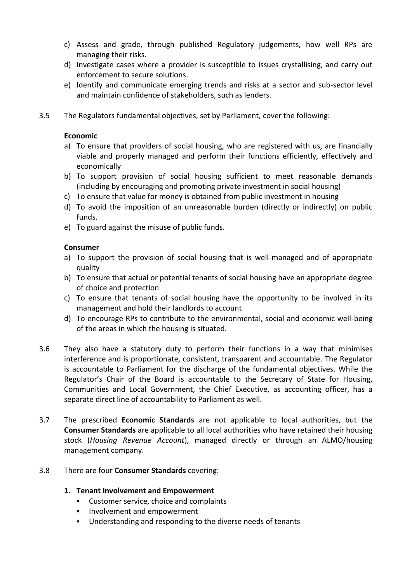- c) Assess and grade, through published Regulatory judgements, how well RPs are managing their risks.
- d) Investigate cases where a provider is susceptible to issues crystallising, and carry out enforcement to secure solutions.
- e) Identify and communicate emerging trends and risks at a sector and sub-sector level and maintain confidence of stakeholders, such as lenders.
- 3.5 The Regulators fundamental objectives, set by Parliament, cover the following:

## **Economic**

- a) To ensure that providers of social housing, who are registered with us, are financially viable and properly managed and perform their functions efficiently, effectively and economically
- b) To support provision of social housing sufficient to meet reasonable demands (including by encouraging and promoting private investment in social housing)
- c) To ensure that value for money is obtained from public investment in housing
- d) To avoid the imposition of an unreasonable burden (directly or indirectly) on public funds.
- e) To guard against the misuse of public funds.

# **Consumer**

- a) To support the provision of social housing that is well-managed and of appropriate quality
- b) To ensure that actual or potential tenants of social housing have an appropriate degree of choice and protection
- c) To ensure that tenants of social housing have the opportunity to be involved in its management and hold their landlords to account
- d) To encourage RPs to contribute to the environmental, social and economic well-being of the areas in which the housing is situated.
- 3.6 They also have a statutory duty to perform their functions in a way that minimises interference and is proportionate, consistent, transparent and accountable. The Regulator is accountable to Parliament for the discharge of the fundamental objectives. While the Regulator's Chair of the Board is accountable to the Secretary of State for Housing, Communities and Local Government, the Chief Executive, as accounting officer, has a separate direct line of accountability to Parliament as well.
- 3.7 The prescribed **Economic Standards** are not applicable to local authorities, but the **Consumer Standards** are applicable to all local authorities who have retained their housing stock (*Housing Revenue Account*), managed directly or through an ALMO/housing management company.

# 3.8 There are four **Consumer Standards** covering:

# **1. Tenant Involvement and Empowerment**

- Customer service, choice and complaints
- **Involvement and empowerment**
- Understanding and responding to the diverse needs of tenants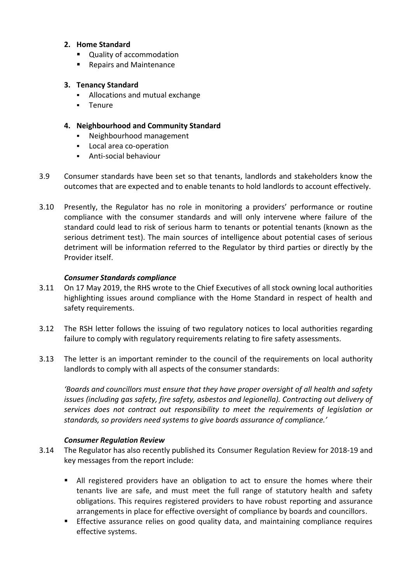## **2. Home Standard**

- Quality of accommodation
- Repairs and Maintenance

## **3. Tenancy Standard**

- Allocations and mutual exchange
- **Tenure**

## **4. Neighbourhood and Community Standard**

- Neighbourhood management
- **Local area co-operation**
- Anti-social behaviour
- 3.9 Consumer standards have been set so that tenants, landlords and stakeholders know the outcomes that are expected and to enable tenants to hold landlords to account effectively.
- 3.10 Presently, the Regulator has no role in monitoring a providers' performance or routine compliance with the consumer standards and will only intervene where failure of the standard could lead to risk of serious harm to tenants or potential tenants (known as the serious detriment test). The main sources of intelligence about potential cases of serious detriment will be information referred to the Regulator by third parties or directly by the Provider itself.

## *Consumer Standards compliance*

- 3.11 On 17 May 2019, the RHS wrote to the Chief Executives of all stock owning local authorities highlighting issues around compliance with the Home Standard in respect of health and safety requirements.
- 3.12 The [RSH letter f](https://assets.publishing.service.gov.uk/government/uploads/system/uploads/attachment_data/file/802481/Letter_to_LAs_-_RSH_consumer_standards_-_May_2019.pdf)ollows the issuing of two regulatory notices to local authorities regarding failure to comply with regulatory requirements relating to fire safety assessments.
- 3.13 The letter is an important reminder to the council of the requirements on local authority landlords to comply with all aspects of the consumer standards:

*'Boards and councillors must ensure that they have proper oversight of all health and safety issues (including gas safety, fire safety, asbestos and legionella). Contracting out delivery of services does not contract out responsibility to meet the requirements of legislation or standards, so providers need systems to give boards assurance of compliance.'* 

### *Consumer Regulation Review*

- 3.14 The Regulator has also recently published its Consumer Regulation Review for 2018-19 and key messages from the report include:
	- All registered providers have an obligation to act to ensure the homes where their tenants live are safe, and must meet the full range of statutory health and safety obligations. This requires registered providers to have robust reporting and assurance arrangements in place for effective oversight of compliance by boards and councillors.
	- **Effective assurance relies on good quality data, and maintaining compliance requires** effective systems.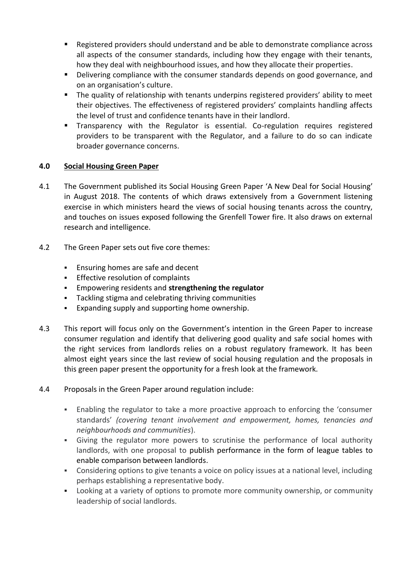- Registered providers should understand and be able to demonstrate compliance across all aspects of the consumer standards, including how they engage with their tenants, how they deal with neighbourhood issues, and how they allocate their properties.
- Delivering compliance with the consumer standards depends on good governance, and on an organisation's culture.
- The quality of relationship with tenants underpins registered providers' ability to meet their objectives. The effectiveness of registered providers' complaints handling affects the level of trust and confidence tenants have in their landlord.
- Transparency with the Regulator is essential. Co-regulation requires registered providers to be transparent with the Regulator, and a failure to do so can indicate broader governance concerns.

# **4.0 Social Housing Green Paper**

- 4.1 The Government published its Social Housing Green Paper 'A New Deal for Social Housing' in August 2018. The contents of which draws extensively from a Government listening exercise in which ministers heard the views of social housing tenants across the country, and touches on issues exposed following the Grenfell Tower fire. It also draws on external research and intelligence.
- 4.2 The Green Paper sets out five core themes:
	- **Ensuring homes are safe and decent**
	- **Effective resolution of complaints**
	- Empowering residents and **strengthening the regulator**
	- Tackling stigma and celebrating thriving communities
	- Expanding supply and supporting home ownership.
- 4.3 This report will focus only on the Government's intention in the Green Paper to increase consumer regulation and identify that delivering good quality and safe social homes with the right services from landlords relies on a robust regulatory framework. It has been almost eight years since the last review of social housing regulation and the proposals in this green paper present the opportunity for a fresh look at the framework.
- 4.4 Proposals in the Green Paper around regulation include:
	- Enabling the regulator to take a more proactive approach to enforcing the 'consumer standards' *(covering tenant involvement and empowerment, homes, tenancies and neighbourhoods and communities*).
	- Giving the regulator more powers to scrutinise the performance of local authority landlords, with one proposal to publish performance in the form of league tables to enable comparison between landlords.
	- Considering options to give tenants a voice on policy issues at a national level, including perhaps establishing a representative body.
	- Looking at a variety of options to promote more community ownership, or community leadership of social landlords.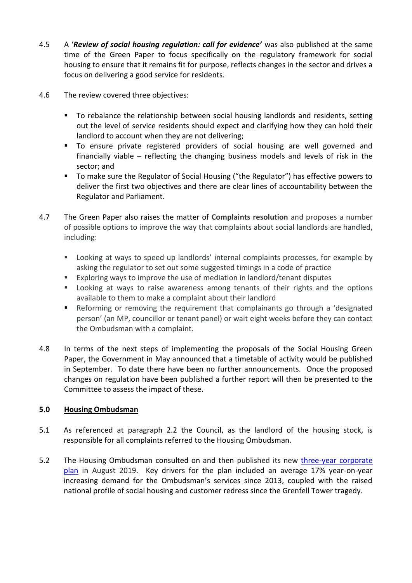- 4.5 A '*Review of social housing regulation: call for evidence'* was also published at the same time of the Green Paper to focus specifically on the regulatory framework for social housing to ensure that it remains fit for purpose, reflects changes in the sector and drives a focus on delivering a good service for residents.
- 4.6 The review covered three objectives:
	- **To rebalance the relationship between social housing landlords and residents, setting** out the level of service residents should expect and clarifying how they can hold their landlord to account when they are not delivering;
	- To ensure private registered providers of social housing are well governed and financially viable – reflecting the changing business models and levels of risk in the sector; and
	- To make sure the Regulator of Social Housing ("the Regulator") has effective powers to deliver the first two objectives and there are clear lines of accountability between the Regulator and Parliament.
- 4.7 The Green Paper also raises the matter of **Complaints resolution** and proposes a number of possible options to improve the way that complaints about social landlords are handled, including:
	- **EXECT** Looking at ways to speed up landlords' internal complaints processes, for example by asking the regulator to set out some suggested timings in a code of practice
	- Exploring ways to improve the use of mediation in landlord/tenant disputes
	- Looking at ways to raise awareness among tenants of their rights and the options available to them to make a complaint about their landlord
	- Reforming or removing the requirement that complainants go through a 'designated person' (an MP, councillor or tenant panel) or wait eight weeks before they can contact the Ombudsman with a complaint.
- 4.8 In terms of the next steps of implementing the proposals of the Social Housing Green Paper, the Government in May announced that a timetable of activity would be published in September. To date there have been no further announcements. Once the proposed changes on regulation have been published a further report will then be presented to the Committee to assess the impact of these.

# **5.0 Housing Ombudsman**

- 5.1 As referenced at paragraph 2.2 the Council, as the landlord of the housing stock, is responsible for all complaints referred to the Housing Ombudsman.
- 5.2 The Housing Ombudsman consulted on and then published its new [three-year](https://www.housing-ombudsman.org.uk/wp-content/uploads/2019/06/Housing-Ombudsman-Corporate-plan-2019-22.pdf) corporate [plan](https://www.housing-ombudsman.org.uk/wp-content/uploads/2019/06/Housing-Ombudsman-Corporate-plan-2019-22.pdf) in August 2019. Key drivers for the plan included an average 17% year-on-year increasing demand for the Ombudsman's services since 2013, coupled with the raised national profile of social housing and customer redress since the Grenfell Tower tragedy.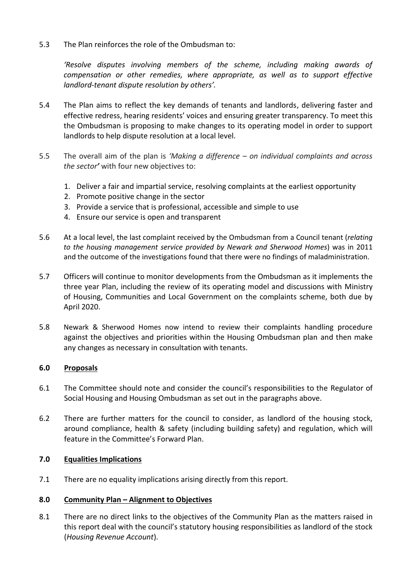5.3 The Plan reinforces the role of the Ombudsman to:

*'Resolve disputes involving members of the scheme, including making awards of compensation or other remedies, where appropriate, as well as to support effective landlord-tenant dispute resolution by others'.*

- 5.4 The Plan aims to reflect the key demands of tenants and landlords, delivering faster and effective redress, hearing residents' voices and ensuring greater transparency. To meet this the Ombudsman is proposing to make changes to its operating model in order to support landlords to help dispute resolution at a local level.
- 5.5 The overall aim of the plan is *'Making a difference – on individual complaints and across the sector'* with four new objectives to:
	- 1. Deliver a fair and impartial service, resolving complaints at the earliest opportunity
	- 2. Promote positive change in the sector
	- 3. Provide a service that is professional, accessible and simple to use
	- 4. Ensure our service is open and transparent
- 5.6 At a local level, the last complaint received by the Ombudsman from a Council tenant (*relating to the housing management service provided by Newark and Sherwood Homes*) was in 2011 and the outcome of the investigations found that there were no findings of maladministration.
- 5.7 Officers will continue to monitor developments from the Ombudsman as it implements the three year Plan, including the review of its operating model and discussions with Ministry of Housing, Communities and Local Government on the complaints scheme, both due by April 2020.
- 5.8 Newark & Sherwood Homes now intend to review their complaints handling procedure against the objectives and priorities within the Housing Ombudsman plan and then make any changes as necessary in consultation with tenants.

### **6.0 Proposals**

- 6.1 The Committee should note and consider the council's responsibilities to the Regulator of Social Housing and Housing Ombudsman as set out in the paragraphs above.
- 6.2 There are further matters for the council to consider, as landlord of the housing stock, around compliance, health & safety (including building safety) and regulation, which will feature in the Committee's Forward Plan.

### **7.0 Equalities Implications**

7.1 There are no equality implications arising directly from this report.

### **8.0 Community Plan – Alignment to Objectives**

8.1 There are no direct links to the objectives of the Community Plan as the matters raised in this report deal with the council's statutory housing responsibilities as landlord of the stock (*Housing Revenue Account*).